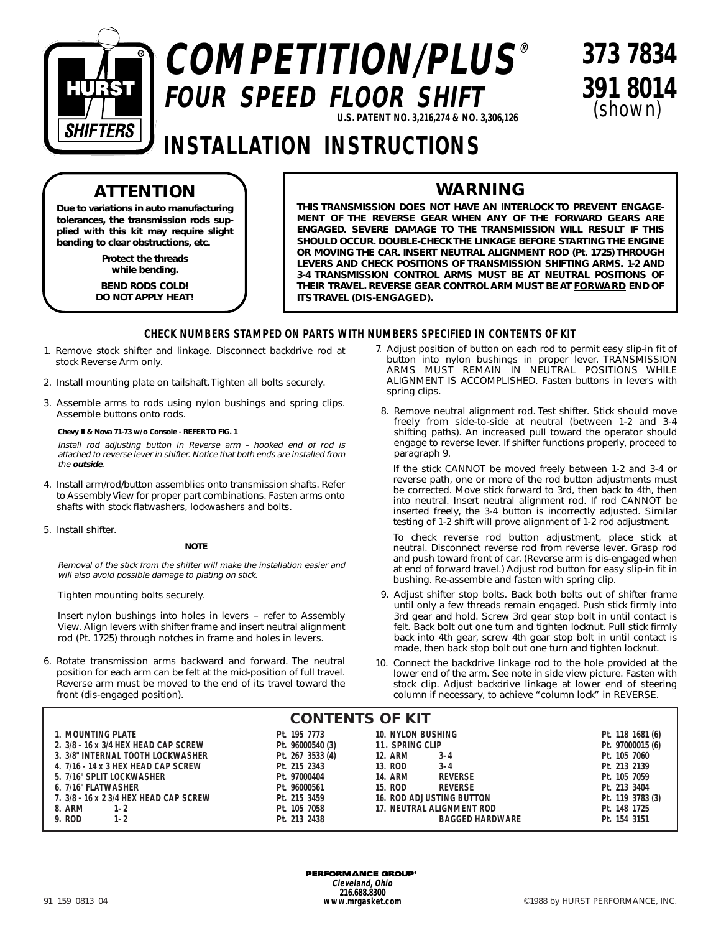

# **COMPETITION/PLUS® FOUR SPEED FLOOR SHIFT U.S. PATENT NO. 3,216,274 & NO. 3,306,126**

**373 7834 391 8014** (shown)

## **INSTALLATION INSTRUCTIONS**

## **ATTENTION**

**Due to variations in auto manufacturing tolerances, the transmission rods supplied with this kit may require slight bending to clear obstructions, etc.**

> **Protect the threads while bending.**

**BEND RODS COLD! DO NOT APPLY HEAT!**

### **WARNING**

**THIS TRANSMISSION DOES NOT HAVE AN INTERLOCK TO PREVENT ENGAGE-MENT OF THE REVERSE GEAR WHEN ANY OF THE FORWARD GEARS ARE ENGAGED. SEVERE DAMAGE TO THE TRANSMISSION WILL RESULT IF THIS SHOULD OCCUR. DOUBLE-CHECK THE LINKAGE BEFORE STARTING THE ENGINE OR MOVING THE CAR. INSERT NEUTRAL ALIGNMENT ROD (Pt. 1725) THROUGH LEVERS AND CHECK POSITIONS OF TRANSMISSION SHIFTING ARMS. 1-2 AND 3-4 TRANSMISSION CONTROL ARMS MUST BE AT NEUTRAL POSITIONS OF THEIR TRAVEL. REVERSE GEAR CONTROL ARM MUST BE AT FORWARD END OF ITS TRAVEL (DIS-ENGAGED).**

### **CHECK NUMBERS STAMPED ON PARTS WITH NUMBERS SPECIFIED IN CONTENTS OF KIT**

- 1. Remove stock shifter and linkage. Disconnect backdrive rod at stock Reverse Arm only.
- 2. Install mounting plate on tailshaft. Tighten all bolts securely.
- 3. Assemble arms to rods using nylon bushings and spring clips. Assemble buttons onto rods.

**Chevy II & Nova 71-73 w/o Console - REFER TO FIG. 1**

Install rod adjusting button in Reverse arm – hooked end of rod is attached to reverse lever in shifter. Notice that both ends are installed from the **outside**.

- 4. Install arm/rod/button assemblies onto transmission shafts. Refer to Assembly View for proper part combinations. Fasten arms onto shafts with stock flatwashers, lockwashers and bolts.
- 5. Install shifter.

#### **NOTE**

Removal of the stick from the shifter will make the installation easier and will also avoid possible damage to plating on stick.

Tighten mounting bolts securely.

Insert nylon bushings into holes in levers – refer to Assembly View. Align levers with shifter frame and insert neutral alignment rod (Pt. 1725) through notches in frame and holes in levers.

6. Rotate transmission arms backward and forward. The neutral position for each arm can be felt at the mid-position of full travel. Reverse arm must be moved to the end of its travel toward the front (dis-engaged position).

- 7. Adjust position of button on each rod to permit easy slip-in fit of button into nylon bushings in proper lever. TRANSMISSION ARMS MUST REMAIN IN NEUTRAL POSITIONS WHILE ALIGNMENT IS ACCOMPLISHED. Fasten buttons in levers with spring clips.
- 8. Remove neutral alignment rod. Test shifter. Stick should move freely from side-to-side at neutral (between 1-2 and 3-4 shifting paths). An increased pull toward the operator should engage to reverse lever. If shifter functions properly, proceed to paragraph 9.

If the stick CANNOT be moved freely between 1-2 and 3-4 or reverse path, one or more of the rod button adjustments must be corrected. Move stick forward to 3rd, then back to 4th, then into neutral. Insert neutral alignment rod. If rod CANNOT be inserted freely, the 3-4 button is incorrectly adjusted. Similar testing of 1-2 shift will prove alignment of 1-2 rod adjustment.

To check reverse rod button adjustment, place stick at neutral. Disconnect reverse rod from reverse lever. Grasp rod and push toward front of car. (Reverse arm is dis-engaged when at end of forward travel.) Adjust rod button for easy slip-in fit in bushing. Re-assemble and fasten with spring clip.

- 9. Adjust shifter stop bolts. Back both bolts out of shifter frame until only a few threads remain engaged. Push stick firmly into 3rd gear and hold. Screw 3rd gear stop bolt in until contact is felt. Back bolt out one turn and tighten locknut. Pull stick firmly back into 4th gear, screw 4th gear stop bolt in until contact is made, then back stop bolt out one turn and tighten locknut.
- 10. Connect the backdrive linkage rod to the hole provided at the lower end of the arm. See note in side view picture. Fasten with stock clip. Adjust backdrive linkage at lower end of steering column if necessary, to achieve "column lock" in REVERSE.

| <b>CONTENTS OF KIT</b>                 |                  |                                  |                  |
|----------------------------------------|------------------|----------------------------------|------------------|
| 1. MOUNTING PLATE                      | Pt. 195 7773     | <b>10. NYLON BUSHING</b>         | Pt. 118 1681 (6) |
| 2. 3/8 - 16 x 3/4 HEX HEAD CAP SCREW   | Pt. 96000540 (3) | 11. SPRING CLIP                  | Pt. 97000015 (6) |
| 3. 3/8" INTERNAL TOOTH LOCKWASHER      | Pt. 267 3533 (4) | <b>12. ARM</b><br>$3 - 4$        | Pt. 105 7060     |
| 4. 7/16 - 14 x 3 HEX HEAD CAP SCREW    | Pt. 215 2343     | 13. ROD<br>$3 - 4$               | Pt. 213 2139     |
| 5. 7/16" SPLIT LOCKWASHER              | Pt. 97000404     | <b>14. ARM</b><br><b>REVERSE</b> | Pt. 105 7059     |
| 6. 7/16" FLATWASHER                    | Pt. 96000561     | 15. ROD<br><b>REVERSE</b>        | Pt. 213 3404     |
| 7. 3/8 - 16 x 2 3/4 HEX HEAD CAP SCREW | Pt. 215 3459     | <b>16. ROD ADJUSTING BUTTON</b>  | Pt. 119 3783 (3) |
| 8. ARM<br>$1 - 2$                      | Pt. 105 7058     | 17. NEUTRAL ALIGNMENT ROD        | Pt. 148 1725     |
| 9. ROD<br>$1 - 2$                      | Pt. 213 2438     | <b>BAGGED HARDWARE</b>           | Pt. 154 3151     |

**PERFORMANCE GROUP® Cleveland, Ohio 216.688.8300 www.mrgasket.com**